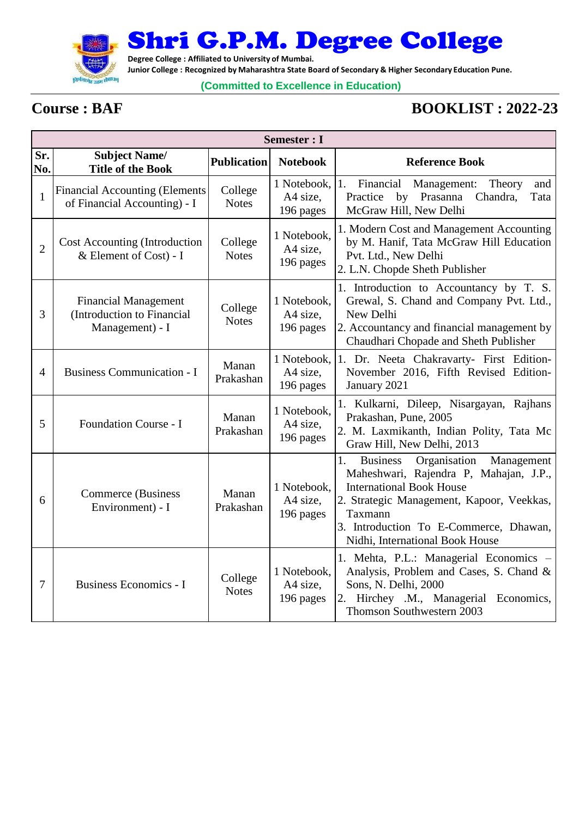

Shri G.P.M. Degree College

**Degree College : Affiliated to University of Mumbai.**

**Junior College : Recognized by Maharashtra State Board of Secondary & Higher Secondary Education Pune.**

## **(Committed to Excellence in Education)**

## **Course : BAF BOOKLIST : 2022-23**

|                | Semester : I                                                                 |                         |                                      |                                                                                                                                                                                                                                                                       |  |  |
|----------------|------------------------------------------------------------------------------|-------------------------|--------------------------------------|-----------------------------------------------------------------------------------------------------------------------------------------------------------------------------------------------------------------------------------------------------------------------|--|--|
| Sr.<br>No.     | <b>Subject Name/</b><br><b>Title of the Book</b>                             | <b>Publication</b>      | <b>Notebook</b>                      | <b>Reference Book</b>                                                                                                                                                                                                                                                 |  |  |
| $\mathbf{1}$   | <b>Financial Accounting (Elements</b><br>of Financial Accounting) - I        | College<br><b>Notes</b> | 1 Notebook,<br>A4 size,<br>196 pages | Financial<br>Management:<br>1.<br>Theory<br>and<br>Practice<br>by Prasanna<br>Chandra,<br>Tata<br>McGraw Hill, New Delhi                                                                                                                                              |  |  |
| $\overline{2}$ | <b>Cost Accounting (Introduction</b><br>& Element of Cost) - I               | College<br><b>Notes</b> | 1 Notebook,<br>A4 size,<br>196 pages | 1. Modern Cost and Management Accounting<br>by M. Hanif, Tata McGraw Hill Education<br>Pvt. Ltd., New Delhi<br>2. L.N. Chopde Sheth Publisher                                                                                                                         |  |  |
| 3              | <b>Financial Management</b><br>(Introduction to Financial<br>Management) - I | College<br><b>Notes</b> | 1 Notebook,<br>A4 size,<br>196 pages | 1. Introduction to Accountancy by T. S.<br>Grewal, S. Chand and Company Pvt. Ltd.,<br>New Delhi<br>2. Accountancy and financial management by<br>Chaudhari Chopade and Sheth Publisher                                                                                |  |  |
| 4              | <b>Business Communication - I</b>                                            | Manan<br>Prakashan      | 1 Notebook,<br>A4 size,<br>196 pages | 1. Dr. Neeta Chakravarty- First Edition-<br>November 2016, Fifth Revised Edition-<br>January 2021                                                                                                                                                                     |  |  |
| 5              | Foundation Course - I                                                        | Manan<br>Prakashan      | 1 Notebook,<br>A4 size,<br>196 pages | 1. Kulkarni, Dileep, Nisargayan, Rajhans<br>Prakashan, Pune, 2005<br>2. M. Laxmikanth, Indian Polity, Tata Mc<br>Graw Hill, New Delhi, 2013                                                                                                                           |  |  |
| 6              | <b>Commerce</b> (Business<br>Environment) - I                                | Manan<br>Prakashan      | 1 Notebook,<br>A4 size,<br>196 pages | Organisation<br>1.<br><b>Business</b><br>Management<br>Maheshwari, Rajendra P, Mahajan, J.P.,<br><b>International Book House</b><br>2. Strategic Management, Kapoor, Veekkas,<br>Taxmann<br>3. Introduction To E-Commerce, Dhawan,<br>Nidhi, International Book House |  |  |
| $\overline{7}$ | <b>Business Economics - I</b>                                                | College<br><b>Notes</b> | 1 Notebook,<br>A4 size,<br>196 pages | 1. Mehta, P.L.: Managerial Economics -<br>Analysis, Problem and Cases, S. Chand &<br>Sons, N. Delhi, 2000<br>2. Hirchey .M., Managerial Economics,<br>Thomson Southwestern 2003                                                                                       |  |  |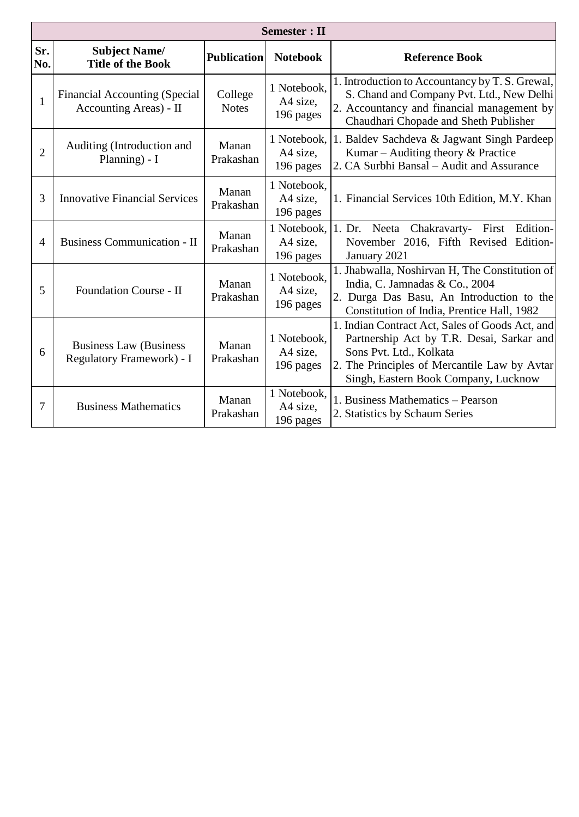|                | <b>Semester</b> : II                                           |                         |                                      |                                                                                                                                                                                                                 |  |  |
|----------------|----------------------------------------------------------------|-------------------------|--------------------------------------|-----------------------------------------------------------------------------------------------------------------------------------------------------------------------------------------------------------------|--|--|
| Sr.<br>No.     | <b>Subject Name/</b><br><b>Title of the Book</b>               | <b>Publication</b>      | <b>Notebook</b>                      | <b>Reference Book</b>                                                                                                                                                                                           |  |  |
| $\mathbf{1}$   | <b>Financial Accounting (Special</b><br>Accounting Areas) - II | College<br><b>Notes</b> | 1 Notebook,<br>A4 size,<br>196 pages | 1. Introduction to Accountancy by T. S. Grewal,<br>S. Chand and Company Pvt. Ltd., New Delhi<br>2. Accountancy and financial management by<br>Chaudhari Chopade and Sheth Publisher                             |  |  |
| $\overline{2}$ | Auditing (Introduction and<br>Planning) - I                    | Manan<br>Prakashan      | 1 Notebook,<br>A4 size,<br>196 pages | 1. Baldev Sachdeva & Jagwant Singh Pardeep<br>Kumar – Auditing theory $&$ Practice<br>2. CA Surbhi Bansal - Audit and Assurance                                                                                 |  |  |
| 3              | <b>Innovative Financial Services</b>                           | Manan<br>Prakashan      | 1 Notebook,<br>A4 size,<br>196 pages | 1. Financial Services 10th Edition, M.Y. Khan                                                                                                                                                                   |  |  |
| 4              | <b>Business Communication - II</b>                             | Manan<br>Prakashan      | 1 Notebook,<br>A4 size,<br>196 pages | 1. Dr. Neeta<br>Chakravarty- First<br>Edition-<br>November 2016, Fifth Revised Edition-<br>January 2021                                                                                                         |  |  |
| 5              | Foundation Course - II                                         | Manan<br>Prakashan      | 1 Notebook,<br>A4 size,<br>196 pages | 1. Jhabwalla, Noshirvan H, The Constitution of<br>India, C. Jamnadas & Co., 2004<br>2. Durga Das Basu, An Introduction to the<br>Constitution of India, Prentice Hall, 1982                                     |  |  |
| 6              | <b>Business Law (Business)</b><br>Regulatory Framework) - I    | Manan<br>Prakashan      | 1 Notebook,<br>A4 size,<br>196 pages | 1. Indian Contract Act, Sales of Goods Act, and<br>Partnership Act by T.R. Desai, Sarkar and<br>Sons Pvt. Ltd., Kolkata<br>2. The Principles of Mercantile Law by Avtar<br>Singh, Eastern Book Company, Lucknow |  |  |
| 7              | <b>Business Mathematics</b>                                    | Manan<br>Prakashan      | 1 Notebook,<br>A4 size,<br>196 pages | 1. Business Mathematics - Pearson<br>2. Statistics by Schaum Series                                                                                                                                             |  |  |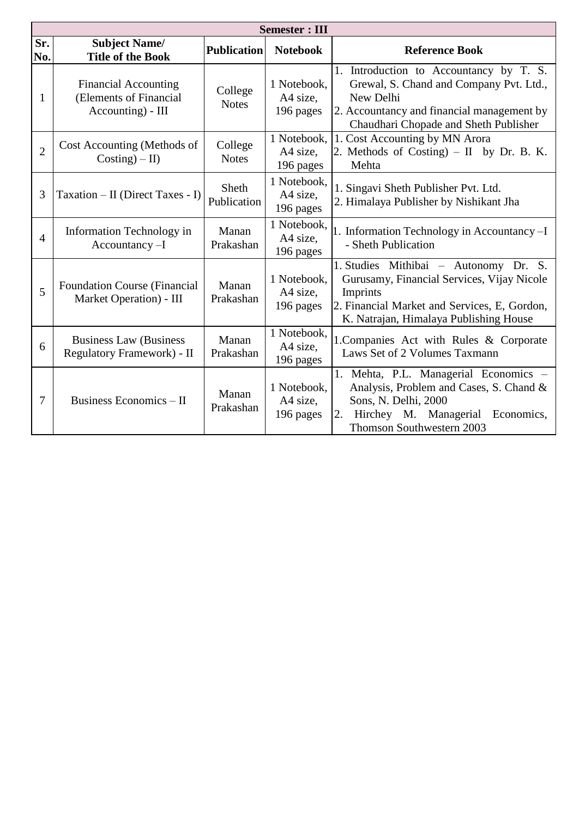|                | <b>Semester: III</b>                                                       |                             |                                      |                                                                                                                                                                                           |  |  |
|----------------|----------------------------------------------------------------------------|-----------------------------|--------------------------------------|-------------------------------------------------------------------------------------------------------------------------------------------------------------------------------------------|--|--|
| Sr.<br>No.     | <b>Subject Name/</b><br><b>Title of the Book</b>                           | <b>Publication</b>          | <b>Notebook</b>                      | <b>Reference Book</b>                                                                                                                                                                     |  |  |
| 1              | <b>Financial Accounting</b><br>(Elements of Financial<br>Accounting) - III | College<br><b>Notes</b>     | 1 Notebook,<br>A4 size,<br>196 pages | 1. Introduction to Accountancy by T. S.<br>Grewal, S. Chand and Company Pvt. Ltd.,<br>New Delhi<br>2. Accountancy and financial management by<br>Chaudhari Chopade and Sheth Publisher    |  |  |
| $\overline{2}$ | Cost Accounting (Methods of<br>$Costing) - II$                             | College<br><b>Notes</b>     | 1 Notebook,<br>A4 size,<br>196 pages | 1. Cost Accounting by MN Arora<br>2. Methods of Costing) $-$ II by Dr. B. K.<br>Mehta                                                                                                     |  |  |
| 3              | Taxation – II (Direct Taxes - I)                                           | <b>Sheth</b><br>Publication | 1 Notebook,<br>A4 size.<br>196 pages | 1. Singavi Sheth Publisher Pvt. Ltd.<br>2. Himalaya Publisher by Nishikant Jha                                                                                                            |  |  |
| $\overline{4}$ | Information Technology in<br>$Accountancy-I$                               | Manan<br>Prakashan          | 1 Notebook,<br>A4 size,<br>196 pages | 1. Information Technology in Accountancy-I<br>- Sheth Publication                                                                                                                         |  |  |
| 5              | <b>Foundation Course (Financial</b><br>Market Operation) - III             | Manan<br>Prakashan          | 1 Notebook,<br>A4 size,<br>196 pages | 1. Studies Mithibai - Autonomy Dr. S.<br>Gurusamy, Financial Services, Vijay Nicole<br>Imprints<br>2. Financial Market and Services, E, Gordon,<br>K. Natrajan, Himalaya Publishing House |  |  |
| 6              | <b>Business Law (Business)</b><br>Regulatory Framework) - II               | Manan<br>Prakashan          | 1 Notebook,<br>A4 size,<br>196 pages | 1. Companies Act with Rules & Corporate<br>Laws Set of 2 Volumes Taxmann                                                                                                                  |  |  |
| $\overline{7}$ | <b>Business Economics - II</b>                                             | Manan<br>Prakashan          | 1 Notebook,<br>A4 size,<br>196 pages | 1. Mehta, P.L. Managerial Economics -<br>Analysis, Problem and Cases, S. Chand &<br>Sons, N. Delhi, 2000<br>Hirchey M. Managerial<br>Economics,<br>2.<br>Thomson Southwestern 2003        |  |  |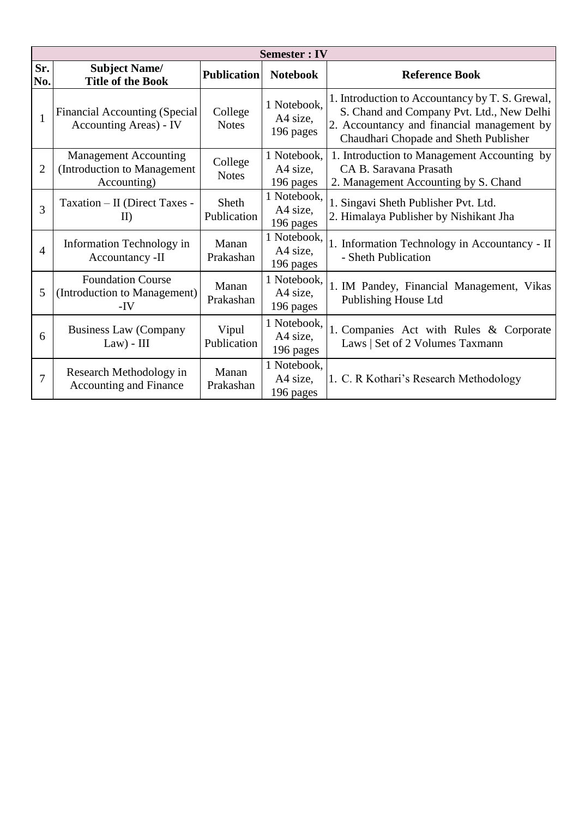|                | <b>Semester: IV</b>                                                        |                         |                                      |                                                                                                                                                                                     |  |  |
|----------------|----------------------------------------------------------------------------|-------------------------|--------------------------------------|-------------------------------------------------------------------------------------------------------------------------------------------------------------------------------------|--|--|
| Sr.<br>No.     | <b>Subject Name/</b><br><b>Title of the Book</b>                           | <b>Publication</b>      | <b>Notebook</b>                      | <b>Reference Book</b>                                                                                                                                                               |  |  |
| $\mathbf{1}$   | <b>Financial Accounting (Special</b><br>Accounting Areas) - IV             | College<br><b>Notes</b> | 1 Notebook,<br>A4 size,<br>196 pages | 1. Introduction to Accountancy by T. S. Grewal,<br>S. Chand and Company Pvt. Ltd., New Delhi<br>2. Accountancy and financial management by<br>Chaudhari Chopade and Sheth Publisher |  |  |
| $\overline{2}$ | <b>Management Accounting</b><br>(Introduction to Management<br>Accounting) | College<br><b>Notes</b> | 1 Notebook,<br>A4 size,<br>196 pages | 1. Introduction to Management Accounting by<br>CA B. Saravana Prasath<br>2. Management Accounting by S. Chand                                                                       |  |  |
| 3              | Taxation - II (Direct Taxes -<br>II)                                       | Sheth<br>Publication    | 1 Notebook,<br>A4 size,<br>196 pages | 1. Singavi Sheth Publisher Pvt. Ltd.<br>2. Himalaya Publisher by Nishikant Jha                                                                                                      |  |  |
| $\overline{4}$ | Information Technology in<br>Accountancy -II                               | Manan<br>Prakashan      | 1 Notebook,<br>A4 size.<br>196 pages | 1. Information Technology in Accountancy - II<br>- Sheth Publication                                                                                                                |  |  |
| 5              | <b>Foundation Course</b><br>(Introduction to Management)<br>$-IV$          | Manan<br>Prakashan      | 1 Notebook,<br>A4 size,<br>196 pages | 1. IM Pandey, Financial Management, Vikas<br>Publishing House Ltd                                                                                                                   |  |  |
| 6              | <b>Business Law (Company</b><br>$Law) - III$                               | Vipul<br>Publication    | 1 Notebook,<br>A4 size.<br>196 pages | 1. Companies Act with Rules & Corporate<br>Laws   Set of 2 Volumes Taxmann                                                                                                          |  |  |
| 7              | Research Methodology in<br><b>Accounting and Finance</b>                   | Manan<br>Prakashan      | 1 Notebook,<br>A4 size,<br>196 pages | 1. C. R Kothari's Research Methodology                                                                                                                                              |  |  |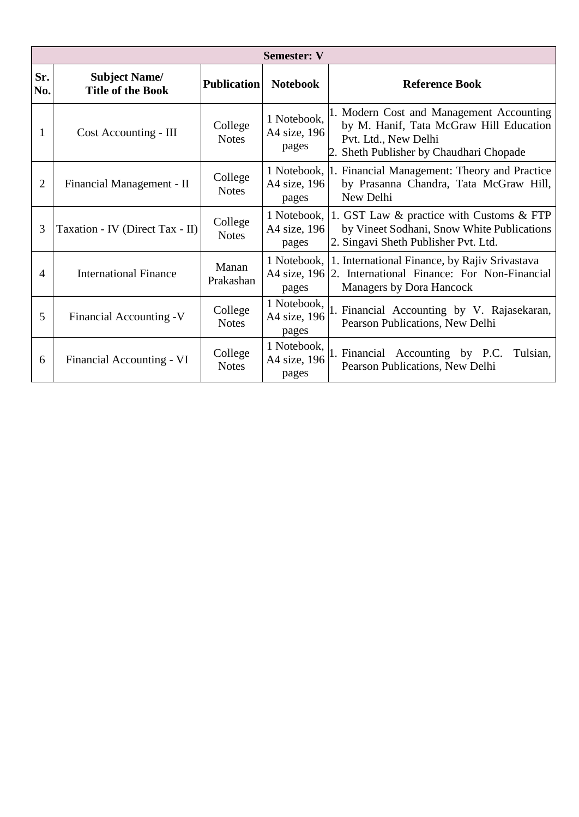|                | <b>Semester: V</b>                               |                         |                                      |                                                                                                                                                        |  |  |
|----------------|--------------------------------------------------|-------------------------|--------------------------------------|--------------------------------------------------------------------------------------------------------------------------------------------------------|--|--|
| Sr.<br>No.     | <b>Subject Name/</b><br><b>Title of the Book</b> | <b>Publication</b>      | <b>Notebook</b>                      | <b>Reference Book</b>                                                                                                                                  |  |  |
| 1              | Cost Accounting - III                            | College<br><b>Notes</b> | 1 Notebook,<br>A4 size, 196<br>pages | 1. Modern Cost and Management Accounting<br>by M. Hanif, Tata McGraw Hill Education<br>Pvt. Ltd., New Delhi<br>2. Sheth Publisher by Chaudhari Chopade |  |  |
| $\overline{2}$ | Financial Management - II                        | College<br><b>Notes</b> | A4 size, 196<br>pages                | 1 Notebook, 1. Financial Management: Theory and Practice<br>by Prasanna Chandra, Tata McGraw Hill,<br>New Delhi                                        |  |  |
| 3              | Taxation - IV (Direct Tax - II)                  | College<br><b>Notes</b> | 1 Notebook,<br>A4 size, 196<br>pages | 1. GST Law & practice with Customs & FTP<br>by Vineet Sodhani, Snow White Publications<br>2. Singavi Sheth Publisher Pvt. Ltd.                         |  |  |
| $\overline{A}$ | <b>International Finance</b>                     | Manan<br>Prakashan      | 1 Notebook,<br>pages                 | 1. International Finance, by Rajiv Srivastava<br>A4 size, 196 2. International Finance: For Non-Financial<br>Managers by Dora Hancock                  |  |  |
| 5              | Financial Accounting -V                          | College<br><b>Notes</b> | 1 Notebook,<br>A4 size, 196<br>pages | 1. Financial Accounting by V. Rajasekaran,<br>Pearson Publications, New Delhi                                                                          |  |  |
| 6              | Financial Accounting - VI                        | College<br><b>Notes</b> | 1 Notebook,<br>A4 size, 196<br>pages | 1. Financial Accounting by P.C.<br>Tulsian,<br>Pearson Publications, New Delhi                                                                         |  |  |